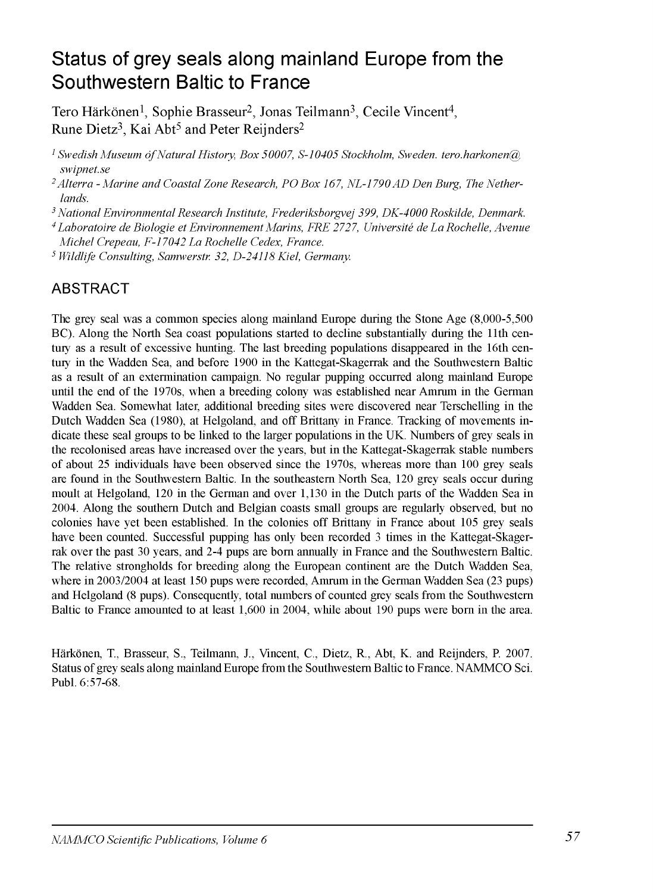# Status of grey seals along mainland Europe from the Southwestern Baltic to France

Tero Härkönen<sup>1</sup>, Sophie Brasseur<sup>2</sup>, Jonas Teilmann<sup>3</sup>, Cecile Vincent<sup>4</sup>, Rune Dietz<sup>3</sup>, Kai Abt<sup>5</sup> and Peter Reijnders<sup>2</sup>

<sup>1</sup> Swedish Museum of Natural History, Box 50007, S-10405 Stockholm, Sweden. tero.harkonen@ *swipnet.se*

*2Alterra - Marine and Coastal Zone Research, PO Box 167, NL-1790AD Den Burg, The Netherlands.*

5 *National Environmental Research Institute, Frederiksborgvej 399, DK-4000 Roskilde, Denmark.*

*4 Laboratoire de Biologie et Environnement Marins, FRE 2727, Université de La Rochelle, Avenue Michel Crepeau, F-17042 La Rochelle Cedex, France.*

*5 Wildlife Consulting, Samwerstr. 32, D-24118 Kiel, Germany.*

# ABSTRACT

The grey seal was a common species along mainland Europe during the Stone Age (8,000-5,500 BC). Along the North Sea coast populations started to decline substantially during the 11th century as a result of excessive hunting. The last breeding populations disappeared in the 16th century in the Wadden Sea, and before 1900 in the Kattegat-Skagerrak and the Southwestern Baltic as a result of an extermination campaign. No regular pupping occurred along mainland Europe until the end of the 1970s, when a breeding colony was established near Amrum in the German Wadden Sea. Somewhat later, additional breeding sites were discovered near Terschelling in the Dutch Wadden Sea (1980), at Helgoland, and off Brittany in France. Tracking of movements indicate these seal groups to be linked to the larger populations in the UK. Numbers of grey seals in the recolonised areas have increased over the years, but in the Kattegat-Skagerrak stable numbers of about 25 individuals have been observed since the 1970s, whereas more than 100 grey seals are found in the Southwestern Baltic. In the southeastern North Sea, 120 grey seals occur during moult at Helgoland, 120 in the German and over 1,130 in the Dutch parts of the Wadden Sea in 2004. Along the southern Dutch and Belgian coasts small groups are regularly observed, but no colonies have yet been established. In the colonies off Brittany in France about 105 grey seals have been counted. Successful pupping has only been recorded 3 times in the Kattegat-Skagerrak over the past 30 years, and 2-4 pups are bom annually in France and the Southwestern Baltic. The relative strongholds for breeding along the European continent are the Dutch Wadden Sea, where in 2003/2004 at least 150 pups were recorded, Amrum in the German Wadden Sea (23 pups) and Helgoland (8 pups). Consequently, total numbers of counted grey seals from the Southwestern Baltic to France amounted to at least 1,600 in 2004, while about 190 pups were bom in the area.

Härkönen, T., Brasseur, S., Teilmann, J., Vincent, C., Dietz, R., Abt, K. and Reijnders, R 2007. Status of grey seals along mainland Europe from the Southwestern Baltic to France. NAMMCO Sei. Publ. 6:57-68.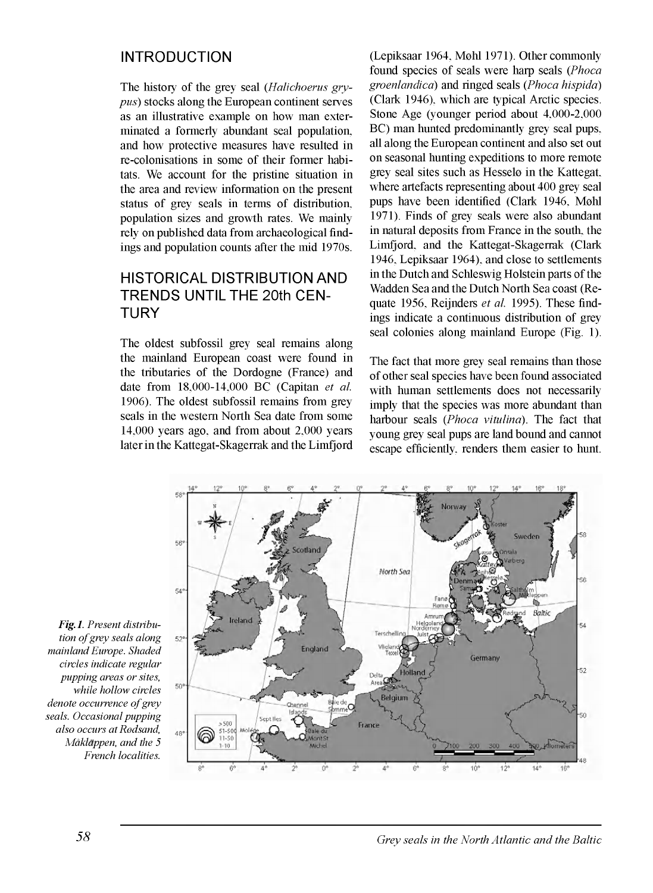### INTRODUCTION

The history of the grey seal (*Halichoerus grypus)* stocks along the European continent serves as an illustrative example on how man exterminated a fonnerly abundant seal population, and how protective measures have resulted in re-colonisations in some of their fonner habitats. We account for the pristine situation in the area and review information on the present status of grey seals in tenns of distribution, population sizes and growth rates. We mainly rely on published data from archaeological findings and population counts after the mid 1970s.

## HISTORICAL DISTRIBUTION AND TRENDS UNTIL THE 20th CEN-**TURY**

The oldest subfossil grey seal remains along the mainland European coast were found in the tributaries of the Dordogne (France) and date from 18,000-14,000 BC (Capitan *et al.* 1906). The oldest subfossil remains from grey seals in the western North Sea date from some 14,000 years ago, and from about 2,000 years later in the Kattegat-Skagerrak and the Limfjord

(Lepiksaar 1964, Møhl 1971). Other commonly found species of seals were harp seals (*Phoca groenlandica)* and ringed seals (*Phoca hispida)* (Clark 1946), which are typical Arctic species. Stone Age (younger period about 4,000-2,000 BC) man hunted predominantly grey seal pups, all along the European continent and also set out on seasonal hunting expeditions to more remote grey seal sites such as Hesselo in the Kattegat, where artefacts representing about 400 grey seal pups have been identified (Clark 1946, Møhl 1971). Finds of grey seals were also abundant in natural deposits from France in the south, the Limfjord, and the Kattegat-Skagerrak (Clark 1946, Lepiksaar 1964), and close to settlements in the Dutch and Schleswig Holstein parts of the Wadden Sea and the Dutch North Sea coast (Requate 1956, Reijnders *et al.* 1995). These findings indicate a continuous distribution of grey seal colonies along mainland Europe (Fig. 1).

The fact that more grey seal remains than those of other seal species have been found associated with human settlements does not necessarily imply that the species was more abundant than harbour seals (*Phoca vitulina).* The fact that young grey seal pups are land bound and cannot escape efficiently, renders them easier to hunt.



*Fig-1- Present distribution of grey seals along mainland Europe. Shaded circles indicate regular pupping areas or sites, while hollow circles denote occurrence of grey seals. Occasional pupping also occurs at Rodsand, Merklappen, and the 5 French localities.*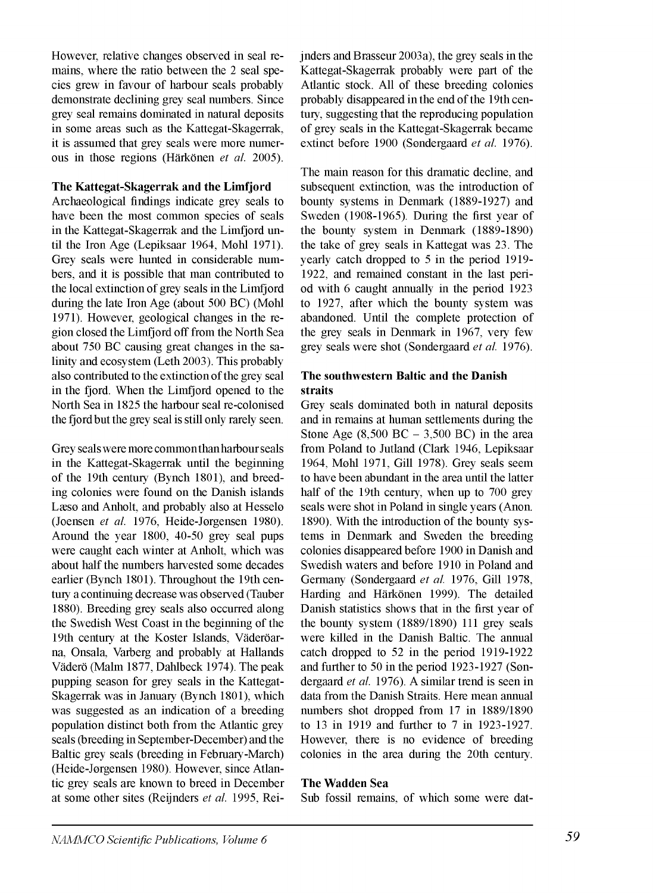However, relative changes observed in seal remains, where the ratio between the 2 seal species grew in favour of harbour seals probably demonstrate declining grey seal numbers. Since grey seal remains dominated in natural deposits in some areas such as the Kattegat-Skagerrak, it is assumed that grey seals were more numerous in those regions (Härkönen *et al.* 2005).

### **The Kattegat-Skagerrak and the Limfjord**

Archaeological findings indicate grey seals to have been the most common species of seals in the Kattegat-Skagerrak and the Limfjord until the Iron Age (Lepiksaar 1964, Mohl 1971). Grey seals were hunted in considerable numbers, and it is possible that man contributed to the local extinction of grey seals in the Limfjord during the late Iron Age (about 500 BC) (Mohl 1971). However, geological changes in the region closed the Limfjord off from the North Sea about 750 BC causing great changes in the salinity and ecosystem (Leth 2003). This probably also contributed to the extinction of the grey seal in the fjord. When the Limfjord opened to the North Sea in 1825 the harbour seal re-colonised the fjord but the grey seal is still only rarely seen.

Grey seals were more commonthan harbour seals in the Kattegat-Skagerrak until the beginning of the 19th century (Bynch 1801), and breeding colonies were found on the Danish islands Læso and Anholt, and probably also at Hesselo (Joensen *et al.* 1976, Heide-Jorgensen 1980). Around the year 1800, 40-50 grey seal pups were caught each winter at Anholt, which was about half the numbers harvested some decades earlier (Bynch 1801). Throughout the 19th century a continuing decrease was observed (Tauber 1880). Breeding grey seals also occurred along the Swedish West Coast in the beginning of the 19th century at the Koster Islands, Väderöarna, Onsala, Varberg and probably at Hallands Väderö (Malm 1877, Dahlbeck 1974). The peak pupping season for grey seals in the Kattegat-Skagerrak was in January (Bynch 1801), which was suggested as an indication of a breeding population distinct both from the Atlantic grey seals (breeding in September-December) and the Baltic grey seals (breeding in February-March) (Heide-Jorgensen 1980). However, since Atlantic grey seals are known to breed in December at some other sites (Reijnders *et al.* 1995, Reijnders and Brasseur 2003a), the grey seals in the Kattegat-Skagerrak probably were part of the Atlantic stock. All of these breeding colonies probably disappeared in the end of the 19th century, suggesting that the reproducing population of grey seals in the Kattegat-Skagerrak became extinct before 1900 (Sondergaard *et al.* 1976).

The main reason for this dramatic decline, and subsequent extinction, was the introduction of bounty systems in Denmark (1889-1927) and Sweden (1908-1965). During the first year of the bounty system in Denmark (1889-1890) the take of grey seals in Kattegat was 23. The yearly catch dropped to 5 in the period 1919- 1922, and remained constant in the last period with 6 caught annually in the period 1923 to 1927, after which the bounty system was abandoned. Until the complete protection of the grey seals in Denmark in 1967, very few grey seals were shot (Sondergaard *et al.* 1976).

### **The southwestern Baltic and the Danish straits**

Grey seals dominated both in natural deposits and in remains at human settlements during the Stone Age  $(8,500 \text{ BC} - 3,500 \text{ BC})$  in the area from Poland to Jutland (Clark 1946, Lepiksaar 1964, Mohl 1971, Gili 1978). Grey seals seem to have been abundant in the area until the latter half of the 19th century, when up to 700 grey seals were shot in Poland in single years (Anon. 1890). With the introduction of the bounty systems in Denmark and Sweden the breeding colonies disappeared before 1900 in Danish and Swedish waters and before 1910 in Poland and Germany (Sondergaard *et al.* 1976, Gili 1978, Harding and Härkönen 1999). The detailed Danish statistics shows that in the first year of the bounty system (1889/1890) 111 grey seals were killed in the Danish Baltic. The annual catch dropped to 52 in the period 1919-1922 and further to 50 in the period 1923-1927 (Sondergaard *et al.* 1976). A similar trend is seen in data from the Danish Straits. Here mean annual numbers shot dropped from 17 in 1889/1890 to 13 in 1919 and further to 7 in 1923-1927. However, there is no evidence of breeding colonies in the area during the 20th century.

### **The Wadden Sea**

Sub fossil remains, of which some were dat-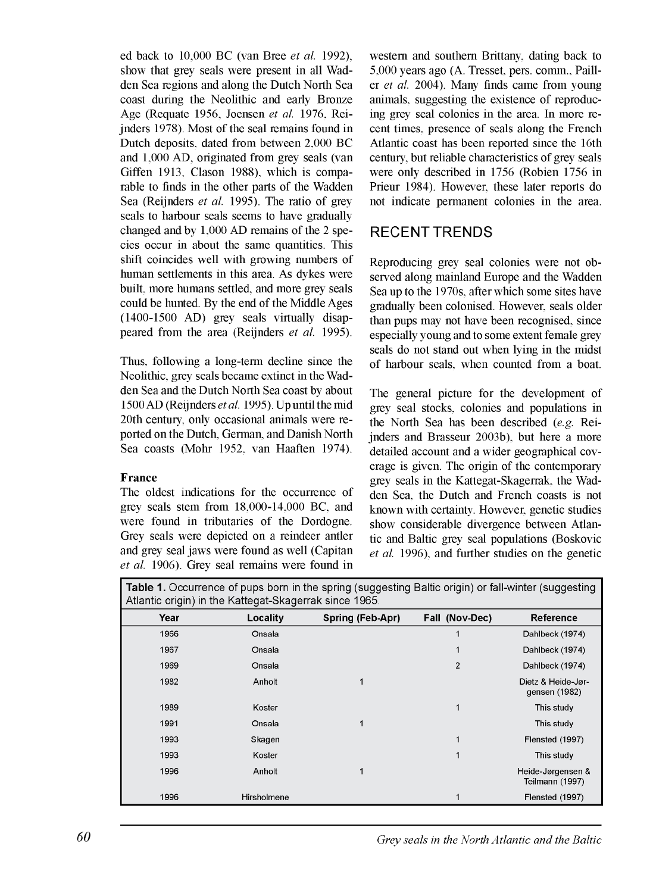ed back to 10,000 BC (van Bree *et al.* 1992), show that grey seals were present in all Wadden Sea regions and along the Dutch North Sea coast during the Neolithic and early Bronze Age (Requate 1956, Joensen *et al.* 1976, Reijnders 1978). Most of the seal remains found in Dutch deposits, dated from between 2,000 BC and 1,000 AD, originated from grey seals (van Giffen 1913, Clason 1988), which is comparable to finds in the other parts of the Wadden Sea (Reijnders *et al.* 1995). The ratio of grey seals to harbour seals seems to have gradually changed and by 1,000 AD remains of the 2 species occur in about the same quantities. This shift coincides well with growing numbers of human settlements in this area. As dykes were built, more humans settled, and more grey seals could be hunted. By the end of the Middle Ages (1400-1500 AD) grey seals virtually disappeared from the area (Reijnders *et al.* 1995).

Thus, following a long-term decline since the Neolithic, grey seals became extinct in the Wadden Sea and the Dutch North Sea coast by about 1500 AD (Reijnders *etal.* 1995). Up until the mid 20th century, only occasional animals were reported on the Dutch, Gennan, and Danish North Sea coasts (Mohr 1952, van Haaften 1974).

### **France**

The oldest indications for the occurrence of grey seals stem from 18,000-14,000 BC, and were found in tributaries of the Dordogne. Grey seals were depicted on a reindeer antler and grey seal jaws were found as well (Capitan *et al.* 1906). Grey seal remains were found in western and southern Brittany, dating back to 5,000 years ago (A. Tresset, pers. comm.. Pailler *et al.* 2004). Many finds came from young animals, suggesting the existence of reproducing grey seal colonies in the area. In more recent times, presence of seals along the French Atlantic coast has been reported since the 16th century, but reliable characteristics of grey seals were only described in 1756 (Robien 1756 in Prieur 1984). However, these later reports do not indicate pennanent colonies in the area.

### RECENT TRENDS

Reproducing grey seal colonies were not observed along mainland Europe and the Wadden Sea up to the 1970s, after which some sites have gradually been colonised. However, seals older than pups may not have been recognised, since especially young and to some extent female grey seals do not stand out when lying in the midst of harbour seals, when counted from a boat.

The general picture for the development of grey seal stocks, colonies and populations in the North Sea has been described *(e.g.* Reijnders and Brasseur 2003b), but here a more detailed account and a wider geographical coverage is given. The origin of the contemporary grey seals in the Kattegat-Skagerrak, the Wadden Sea, the Dutch and French coasts is not known with certainty. However, genetic studies show considerable divergence between Atlantic and Baltic grey seal populations (Boskovic *et al.* 1996), and further studies on the genetic

**Table 1.** Occurrence of pups born in the spring (suggesting Baltic origin) or fall-winter (suggesting Atlantic origin) in the Kattegat-Skagerrak since 1965

|      | $\frac{1}{2}$ and the critical critical condition of the contract of the contract of the contract of the contract of the contract of the contract of the contract of the contract of the contract of the contract of the contract |                  |                |                                      |
|------|-----------------------------------------------------------------------------------------------------------------------------------------------------------------------------------------------------------------------------------|------------------|----------------|--------------------------------------|
| Year | Locality                                                                                                                                                                                                                          | Spring (Feb-Apr) | Fall (Nov-Dec) | <b>Reference</b>                     |
| 1966 | Onsala                                                                                                                                                                                                                            |                  | 1              | Dahlbeck (1974)                      |
| 1967 | Onsala                                                                                                                                                                                                                            |                  | 1              | Dahlbeck (1974)                      |
| 1969 | Onsala                                                                                                                                                                                                                            |                  | $\overline{2}$ | Dahlbeck (1974)                      |
| 1982 | Anholt                                                                                                                                                                                                                            | 1                |                | Dietz & Heide-Jør-<br>gensen (1982)  |
| 1989 | Koster                                                                                                                                                                                                                            |                  | 1              | This study                           |
| 1991 | Onsala                                                                                                                                                                                                                            | 1                |                | This study                           |
| 1993 | Skagen                                                                                                                                                                                                                            |                  | 1              | Flensted (1997)                      |
| 1993 | Koster                                                                                                                                                                                                                            |                  | 1              | This study                           |
| 1996 | Anholt                                                                                                                                                                                                                            | 1                |                | Heide-Jørgensen &<br>Teilmann (1997) |
| 1996 | Hirsholmene                                                                                                                                                                                                                       |                  | 1              | Flensted (1997)                      |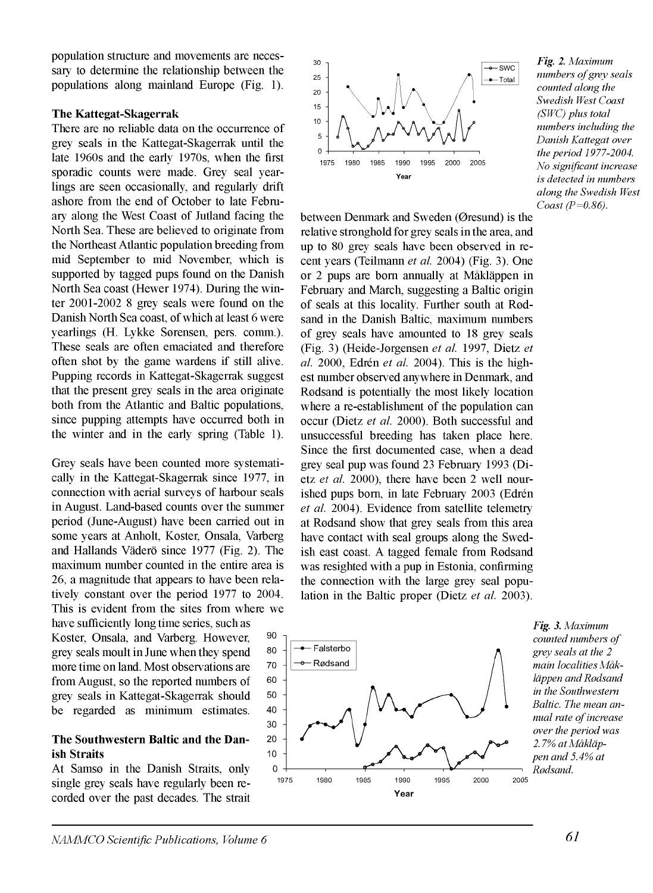population structure and movements are necessary to determine the relationship between the populations along mainland Europe (Fig. 1).

### **The Kattegat-Skagerrak**

There are no reliable data on the occurrence of grey seals in the Kattegat-Skagerrak until the late 1960s and the early 1970s, when the first sporadic counts were made. Grey seal yearlings are seen occasionally, and regularly drift ashore from the end of October to late February along the West Coast of Jutland facing the North Sea. These are believed to originate from the Northeast Atlantic population breeding from mid September to mid November, which is supported by tagged pups found on the Danish North Sea coast (Hewer 1974). During the winter 2001-2002 8 grey seals were found on the Danish North Sea coast, of which at least 6 were yearlings (H. Lykke Sorensen, pers. comm.). These seals are often emaciated and therefore often shot by the game wardens if still alive. Pupping records in Kattegat-Skagerrak suggest that the present grey seals in the area originate both from the Atlantic and Baltic populations, since pupping attempts have occurred both in the winter and in the early spring (Table 1).

Grey seals have been counted more systematically in the Kattegat-Skagerrak since 1977, in connection with aerial surveys of harbour seals in August. Land-based counts over the summer period (June-August) have been carried out in some years at Anholt, Koster, Onsala, Varberg and Hailands Väderö since 1977 (Fig. 2). The maximum number counted in the entire area is 26, a magnitude that appears to have been relatively constant over the period 1977 to 2004. This is evident from the sites from where we

have sufficiently long time series, such as Koster, Onsala, and Varberg. However, grey seals moult in June when they spend more time on land. Most observations are from August, so the reported numbers of grey seals in Kattegat-Skagerrak should be regarded as minimum estimates.

### **The Southwestern Baltic and the Danish Straits**

At Samso in the Danish Straits, only single grey seals have regularly been recorded over the past decades. The strait



between Denmark and Sweden (Gresund) is the relative stronghold for grey seals in the area, and up to 80 grey seals have been observed in recent years (Teilmann *et al.* 2004) (Fig. 3). One or 2 pups are bom annually at Mäkläppen in February and March, suggesting a Baltic origin of seals at this locality. Further south at Rodsand in the Danish Baltic, maximum numbers of grey seals have amounted to 18 grey seals (Fig. 3) (Heide-Jorgensen *et al.* 1997, Dietz *et al.* 2000, Edrén *et al.* 2004). This is the highest number observed anywhere in Denmark, and Rodsand is potentially the most likely location where a re-establishment of the population can occur (Dietz *et al. 2000).* Both successful and unsuccessful breeding has taken place here. Since the first documented case, when a dead grey seal pup was found 23 February 1993 (Dietz *et al.* 2000), there have been 2 well nourished pups bom, in late February 2003 (Edrén *et al.* 2004). Evidence from satellite telemetry at Rodsand show that grey seals from this area have contact with seal groups along the Swedish east coast. A tagged female from Rodsand was resighted with a pup in Estonia, confirming the connection with the large grey seal population in the Baltic proper (Dietz *et al.* 2003).



*Fig. 2. Maximum numbers of grey seals counted along the Swedish West Coast (SWC) plus total numbers including the Danish Kattegat over the period 1977-2004. No significant increase is detected in numbers along the Swedish West Coast (P=0.86).*

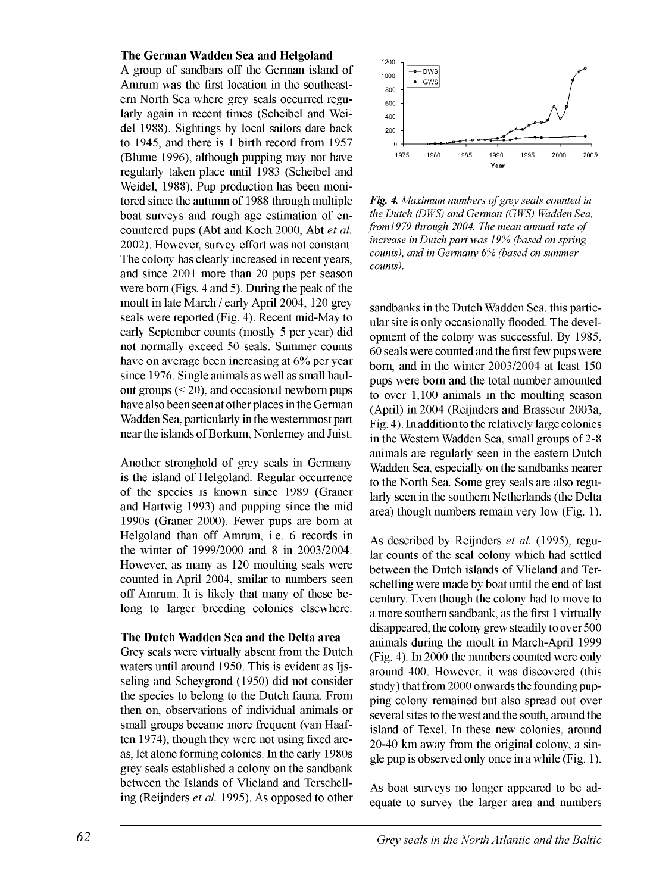### **The German Wadden Sea and Helgoland**

A group of sandbars off the German island of Amrum was the first location in the southeastern North Sea where grey seals occurred regularly again in recent times (Scheibel and Weidel 1988). Sightings by local sailors date back to 1945, and there is 1 birth record from 1957 (Blume 1996), although pupping may not have regularly taken place until 1983 (Scheibel and Weidel, 1988). Pup production has been monitored since the autumn of 1988 through multiple boat surveys and rough age estimation of encountered pups (Abt and Koch 2000, Abt *et al.* 2002). However, survey effort was not constant. The colony has clearly increased in recent years, and since 2001 more than 20 pups per season were bom (Figs. 4 and 5). During the peak of the moult in late March / early April 2004, 120 grey seals were reported (Fig. 4). Recent mid-May to early September counts (mostly 5 per year) did not normally exceed 50 seals. Summer counts have on average been increasing at 6% per year since 1976. Single animals as well as small haulout groups  $( $20$ ), and occasional newborn puts$ have also been seen at other places in the German Wadden Sea, particularly in the westernmost part near the islands of Borkum, Norderney and Juist.

Another stronghold of grey seals in Germany is the island of Helgoland. Regular occurrence of the species is known since 1989 (Graner and Hartwig 1993) and pupping since the mid 1990s (Graner 2000). Fewer pups are bom at Helgoland than off Amrum, i.e. 6 records in the winter of 1999/2000 and 8 in 2003/2004. However, as many as 120 moulting seals were counted in April 2004, smilar to numbers seen off Amrum. It is likely that many of these belong to larger breeding colonies elsewhere.

#### **The Dutch Wadden Sea and the Delta area**

Grey seals were virtually absent from the Dutch waters until around 1950. This is evident as Iisseling and Scheygrond (1950) did not consider the species to belong to the Dutch fauna. From then on, observations of individual animals or small groups became more frequent (van Haaften 1974), though they were not using fixed areas, let alone forming colonies. In the early 1980s grey seals established a colony on the sandbank between the Islands of Vlieland and Terschelling (Reijnders *et al.* 1995). As opposed to other



Fig. 4. Maximum numbers of grey seals counted in *the Dutch (DWS) and German (GWS) Wadden Sea, from1979 through 2004. The mean annual rate of increase in Dutch part was 19% (based on spring counts), and in Germany 6% (based on summer counts).*

sandbanks in the Dutch Wadden Sea, this particular site is only occasionally flooded. The development of the colony was successful. By 1985, 60 seals were counted and the first few pups were bom, and in the winter 2003/2004 at least 150 pups were bom and the total number amounted to over 1,100 animals in the moulting season (April) in 2004 (Reijnders and Brasseur 2003a, Fig. 4). In addition to the relatively large colonies in the Western Wadden Sea, small groups of 2-8 animals are regularly seen in the eastern Dutch Wadden Sea, especially on the sandbanks nearer to the North Sea. Some grey seals are also regularly seen in the southern Netherlands (the Delta area) though numbers remain very low (Fig. 1).

As described by Reijnders *et al.* (1995), regular counts of the seal colony which had settled between the Dutch islands of Vlieland and Terschelling were made by boat until the end of last century. Even though the colony had to move to a more southern sandbank, as the first 1 virtually disappeared, the colony grew steadily to over 500 animals during the moult in March-April 1999 (Fig. 4). In 2000 the numbers counted were only around 400. However, it was discovered (this study) that from 2000 onwards the founding pupping colony remained but also spread out over several sites to the west and the south, around the island of Texel. In these new colonies, around 20-40 km away from the original colony, a single pup is observed only once in a while (Fig. 1).

As boat surveys no longer appeared to be adequate to survey the larger area and numbers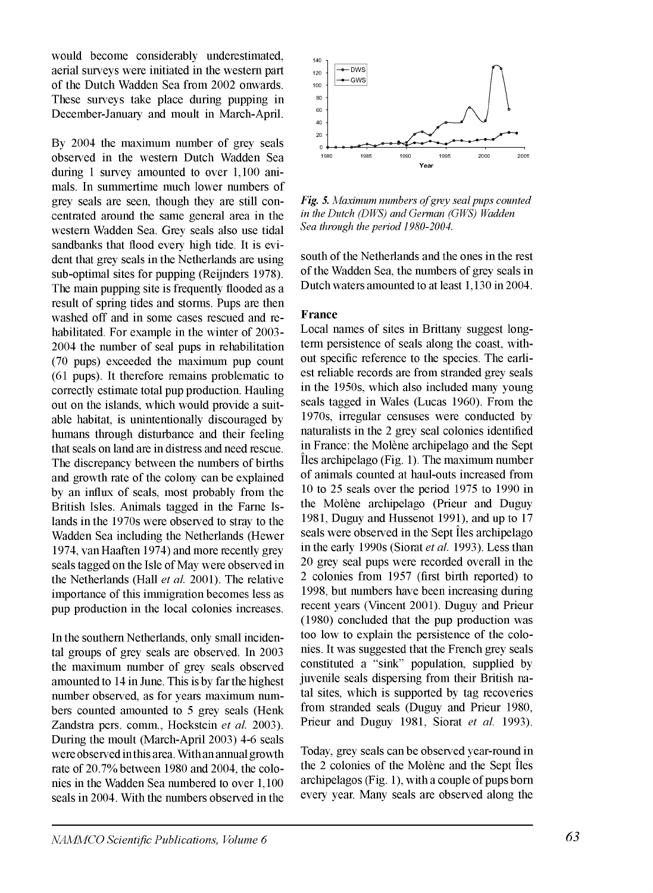would become considerably underestimated, aerial surveys were initiated in the western part of the Dutch Wadden Sea from 2002 onwards. These surveys take place during pupping in December-January and moult in March-April.

By 2004 the maximum number of grey seals observed in the western Dutch Wadden Sea during 1 survey amounted to over 1,100 animals. In summertime much lower numbers of grey seals are seen, though they are still concentrated around the same general area in the western Wadden Sea. Grey seals also use tidal sandbanks that flood every high tide. It is evident that grey seals in the Netherlands are using sub-optimal sites for pupping (Reijnders 1978). The main pupping site is frequently flooded as a result of spring tides and storms. Pups are then washed off and in some cases rescued and rehabilitated. For example in the winter of 2003- 2004 the number of seal pups in rehabilitation (70 pups) exceeded the maximum pup count (61 pups). It therefore remains problematic to correctly estimate total pup production. Hauling out on the islands, which would provide a suitable habitat, is unintentionally discouraged by humans through disturbance and their feeling that seals on land are in distress and need rescue. The discrepancy between the numbers of births and growth rate of the colony can be explained by an influx of seals, most probably from the British Isles. Animals tagged in the Fame Islands in the 1970s were observed to stray to the Wadden Sea including the Netherlands (Hewer 1974, vanHaaften 1974) and more recently grey seals tagged on the Isle of May were observed in the Netherlands (Hall *et al.* 2001). The relative importance of this immigration becomes less as pup production in the local colonies increases.

In the southern Netherlands, only small incidental groups of grey seals are observed. In 2003 the maximum number of grey seals observed amounted to 14 in June. This is by far the highest number observed, as for years maximum numbers counted amounted to 5 grey seals (Henk Zandstra pers. comm., Hoekstein *et al.* 2003). During the moult (March-April 2003) 4-6 seals were observed in this area. With an annual growth rate of 20.7% between 1980 and 2004, the colonies in the Wadden Sea numbered to over 1,100 seals in 2004. With the numbers observed in the



Fig. 5. Maximum numbers of grey seal pups counted *in the Dutch (DWS) and German (GWS) Wadden Sea through the period 1980-2004.*

south of the Netherlands and the ones in the rest of the Wadden Sea, the numbers of grey seals in Dutch waters amounted to at least 1,130 in 2004.

#### **France**

Local names of sites in Brittany suggest longterm persistence of seals along the coast, without specific reference to the species. The earliest reliable records are from stranded grey seals in the 1950s, which also included many young seals tagged in Wales (Lucas 1960). From the 1970s, irregular censuses were conducted by naturalists in the 2 grey seal colonies identified in France: the Molène archipelago and the Sept îles archipelago (Fig. 1). The maximum number of animals counted at haul-outs increased from 10 to 25 seals over the period 1975 to 1990 in the Molène archipelago (Prieur and Duguy 1981, Duguy and Hussenot 1991), and up to 17 seals were observed in the Sept îles archipelago in the early 1990s (Siorat *et al.* 1993). Less than 20 grey seal pups were recorded overall in the 2 colonies from 1957 (first birth reported) to 1998, but numbers have been increasing during recent years (Vincent 2001). Duguy and Prieur (1980) concluded that the pup production was too low to explain the persistence of the colonies. It was suggested that the French grey seals constituted a "sink" population, supplied by juvenile seals dispersing from their British natal sites, which is supported by tag recoveries from stranded seals (Duguy and Prieur 1980, Priem and Duguy 1981, Siorat *et al.* 1993).

Today, grey seals can be observed year-round in the 2 colonies of the Molène and the Sept îles archipelagos (Fig. 1), with a couple of pups bom every year. Many seals are observed along the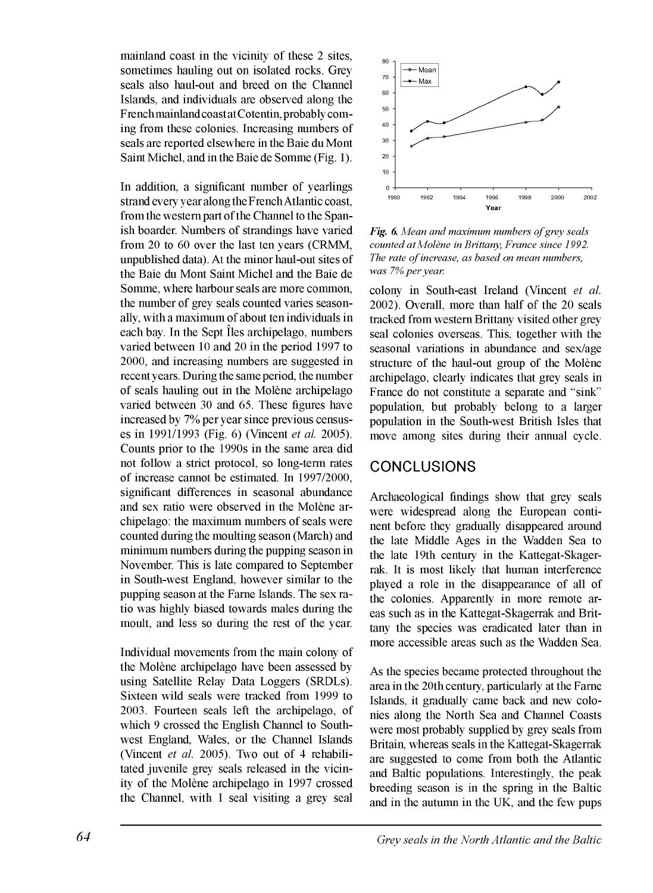mainland coast in the vicinity of these 2 sites, sometimes hauling out on isolated rocks. Grey seals also haul-out and breed on the Channel Islands, and individuals are observed along the Frenchmainland coast at Cotentin, probably coming from these colonies. Increasing numbers of seals are reported elsewhere in the Baie du Mont Saint Michel, and in the Baie de Somme (Fig. 1).

In addition, a significant number of yearlings strand every year along the French Atlantic coast, from the western part of the Channel to the Spanish boarder. Numbers of strandings have varied from 20 to 60 over the last ten years (CRMM, unpublished data). At the minor haul-out sites of the Baie du Mont Saint Michel and the Baie de Somme, where harbour seals are more common, the number of grey seals counted varies seasonally, with a maximum of about ten individuals in each bay. In the Sept îles archipelago, numbers varied between 10 and 20 in the period 1997 to 2000, and increasing numbers are suggested in recentyears. During the same period, the number of seals hauling out in the Molène archipelago varied between 30 and 65. These figures have increased by 7% per year since previous censuses in 1991/1993 (Fig. 6) (Vincent *et al.* 2005). Counts prior to the 1990s in the same area did not follow a strict protocol, so long-term rates of increase cannot be estimated. In 1997/2000, significant differences in seasonal abundance and sex ratio were observed in the Molène archipelago: the maximum numbers of seals were counted during the moulting season (March) and minimum numbers during the pupping season in November. This is late compared to September in South-west England, however similar to the pupping season at the Fame Islands. The sex ratio was highly biased towards males during the moult, and less so during the rest of the year.

Individual movements from the main colony of the Molène archipelago have been assessed by using Satellite Relay Data Loggers (SRDLs). Sixteen wild seals were tracked from 1999 to 2003. Fourteen seals left the archipelago, of which 9 crossed the English Channel to Southwest England, Wales, or the Channel Islands (Vincent *et al.* 2005). Two out of 4 rehabilitated juvenile grey seals released in the vicinity of the Molène archipelago in 1997 crossed the Channel, with 1 seal visiting a grey seal



*Fig. 6. Mean and maximum numbers of grey seals counted at Molène in Brittany, France since 1992.* The rate of increase, as based on mean numbers, *was 7% per year.*

colony in South-east Ireland (Vincent *et al.* 2002). Overall, more than half of the 20 seals tracked from western Brittany visited other grey seal colonies overseas. This, together with the seasonal variations in abundance and sex/age structure of the haul-out group of the Molène archipelago, clearly indicates that grey seals in France do not constitute a separate and "sink" population, but probably belong to a larger population in the South-west British Isles that move among sites during their annual cycle.

### CONCLUSIONS

Archaeological findings show that grey seals were widespread along the European continent before they gradually disappeared around the late Middle Ages in the Wadden Sea to the late 19th century in the Kattegat-Skagerrak. It is most likely that human interference played a role in the disappearance of all of the colonies. Apparently in more remote areas such as in the Kattegat-Skagerrak and Brittany the species was eradicated later than in more accessible areas such as the Wadden Sea.

As the species became protected throughout the area in the 20th century, particularly at the Fame Islands, it gradually came back and new colonies along the North Sea and Channel Coasts were most probably supplied by grey seals from Britain, whereas seals in the Kattegat-Skagerrak are suggested to come from both the Atlantic and Baltic populations. Interestingly, the peak breeding season is in the spring in the Baltic and in the autumn in the UK, and the few pups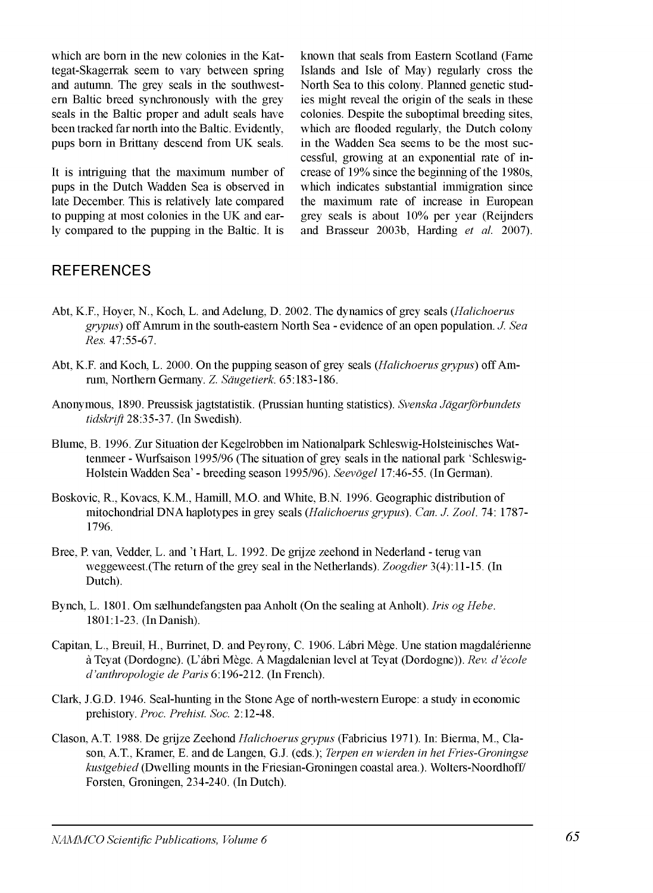which are bom in the new colonies in the Kattegat-Skagerrak seem to vary between spring and autumn. The grey seals in the southwestern Baltic breed synchronously with the grey seals in the Baltic proper and adult seals have been tracked far north into the Baltic. Evidently, pups bom in Brittany descend from UK seals.

It is intriguing that the maximum number of pups in the Dutch Wadden Sea is observed in late December. This is relatively late compared to pupping at most colonies in the UK and early compared to the pupping in the Baltic. It is known that seals from Eastern Scotland (Fame Islands and Isle of May) regularly cross the North Sea to this colony. Planned genetic studies might reveal the origin of the seals in these colonies. Despite the suboptimal breeding sites, which are flooded regularly, the Dutch colony in the Wadden Sea seems to be the most successful, growing at an exponential rate of increase of 19% since the beginning of the 1980s, which indicates substantial immigration since the maximum rate of increase in European grey seals is about 10% per year (Reijnders and Brasseur 2003b, Harding *et al.* 2007).

# **REFERENCES**

- Abt, K.F., Hoyer, N., Koch, L. and Adelung, D. 2002. The dynamics of grey seals (*Halichoerus grypus)* off Amrum in the south-eastern North Sea - evidence of an open population. *J. Sea Res.* 47:55-67.
- Abt, K.F. and Koch, L. 2000. On the pupping season of grey seals *(Halichoerus grypus)* off Amrum, Northern Germany. *Z. Säugetierk.* 65:183-186.
- Anonymous, 1890. Preussisk jagtstatistik. (Pmssian hunting statistics). *Svenska Jägarförbundets tidskrift* 28:35-37. (In Swedish).
- Blume, B. 1996. Zur Situation der Kegelrobben im Nationalpark Schleswig-Holsteinisches Wattenmeer - Wurfsaison 1995/96 (The situation of grey seals in the national park 'Schleswig-Holstein Wadden Sea' - breeding season 1995/96). *Seevögel* 17:46-55. (In German).
- Boskovic, R., Kovacs, K.M., Hamill, M.O. and White, B.N. 1996. Geographic distribution of mitochondrial DNA haplotypes in grey seals *{Halichoerus grypus). Can. J. Zool.* 74: 1787- 1796.
- Bree, P. van, Vedder, L. and 't Hart, L. 1992. De grijze zeehond in Nederland terug van weggeweest.(The return of the grey seal in the Netherlands). *Zoogdier* 3(4): 11-15. (In Dutch).
- Bynch, L. 1801. Om sælhundefangsten paa Anholt (On the sealing at Anholt). *Iris og Hebe.* 1801:1-23. (In Danish).
- Capitan, L., Breuil, H., Burrinet, D. and Peyrony, C. 1906. Lábri Mège. Une station magdalénienne à Teyat (Dordogne). (L'ábri Mège. AMagdalenian level at Teyat (Dordogne)). *Rev. d 'école d 'anthropologie de Paris* 6:196-212. (In French).
- Clark, J.G.D. 1946. Seal-hunting in the Stone Age of north-western Europe: a study in economic prehistory. *Proc. Prehist. Soc.* 2:12-48.
- Clason, A.T. 1988. De grijze Zeehond *Halichoerus grypus* (Fabricius 1971). In: Bierma, M., Clason, A.T., Kramer, E. and de Langen, G.J. (eds.); *Terpen en wierden in het Fries-Groningse kustgebied* (Dwelling mounts in the Friesian-Groningen coastal area.). Wolters-Noordhoff/ Forsten, Groningen, 234-240. (In Dutch).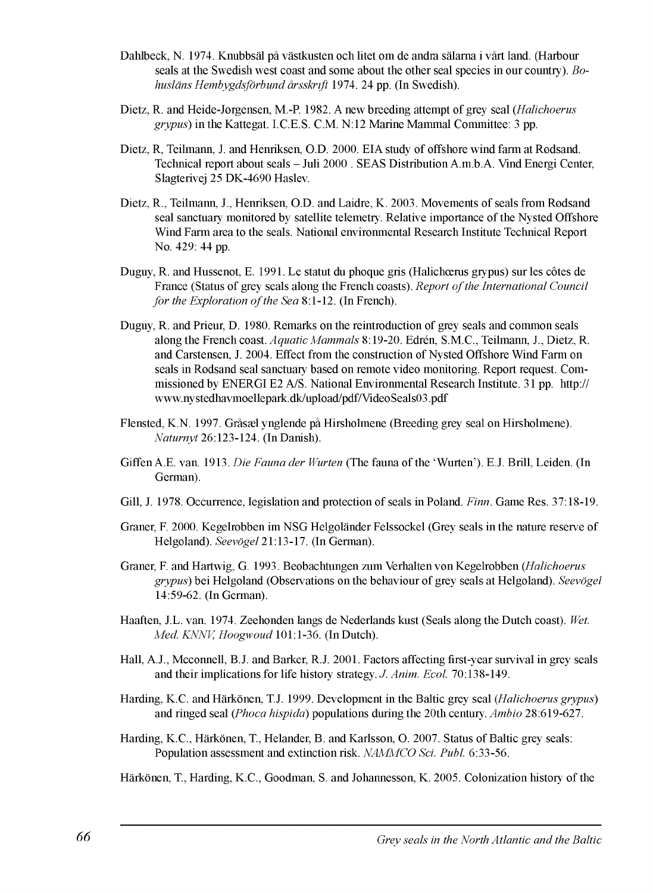- Dahlbeck, N. 1974. Knubbsäl pâ västkusten och litet om de andra sälama i vârt land. (Harbour seals at the Swedish west coast and some about the other seal species in our country). *Bohusläns Hembygdsförbund ársskrift* 1974. 24 pp. (In Swedish).
- Dietz, R. and Heide-Jorgensen, M.-R 1982. A new breeding attempt of grey seal (.*Halichoerus grypus)* in the Kattegat. I.C.E.S. C.M. N:12 Marine Mammal Committee: 3 pp.
- Dietz, R, Teilmann, J. and Henriksen, O.D. 2000. EIA study of offshore wind farm at Rodsand. Technical report about seals - Juli 2000 . SEAS Distribution A.m.b.A. Vind Energi Center, Slagterivej 25 DK-4690 Haslev.
- Dietz, R., Teilmann, J., Henriksen, O.D. and Laidre, K. 2003. Movements of seals from Rodsand seal sanctuary monitored by satellite telemetry. Relative importance of the Nysted Offshore Wind Farm area to the seals. National environmental Research Institute Technical Report No. 429: 44 pp.
- Duguy, R. and Hussenot, E. 1991. Le statut du phoque gris (Halichoerus grypus) sur les côtes de France (Status of grey seals along the French coasts). *Report o f the International Council for the Exploration of the Sea* 8:1-12. (In French).
- Duguy, R. and Prieur, D. 1980. Remarks on the réintroduction of grey seals and common seals along the French coast. *Aquatic Mammals* 8:19-20. Edrén, S.M.C., Teilmann, J., Dietz, R. and Carstensen, J. 2004. Effect from the construction of Nysted Offshore Wind Farm on seals in Rodsand seal sanctuary based on remote video monitoring. Report request. Commissioned by ENERGI E2 A/S. National Environmental Research Institute. 31 pp. http:// [www.nystedhavmoellepark.dk/upload/pdf/VideoSeals03.pdf](http://www.nystedhavmoellepark.dk/upload/pdf/VideoSeals03.pdf)
- Flensted, K.N. 1997. Grâsæl ynglende pâ Hirsholmene (Breeding grey seal on Hirsholmene). *Naturnyt* 26:123-124. (In Danish).
- Giffen A.E. van. 1913. *Die Fauna der Wurten* (The fauna of the 'Wurten'). E.J. Brill, Leiden. (In German).
- Gili, J. 1978. Occurrence, legislation and protection of seals in Poland. *Finn.* Game Res. 37:18-19.
- Graner, F. 2000. Kegelrobben im NSG Helgoländer Felssockel (Grey seals in the nature reserve of Helgoland). *Seevögel* 21:13-17. (In German).
- Graner, F. and Hartwig, G. 1993. Beobachtungen zum Verhalten von Kegelrobben (*Halichoerus grypus)* bei Helgoland (Observations on the behaviour of grey seals at Helgoland). *Seevögel* 14:59-62. (In German).
- Haaften, J.L. van. 1974. Zeehonden langs de Nederlands kust (Seals along the Dutch coast). *Wet. Med. KNNK Hoogwoud* 101:1-36. (In Dutch).
- Hall, A.J., Mcconnell, B.J. and Barker, R.J. 2001. Factors affecting first-year survival in grey seals and their implications for life history strategy. *J. Anim. Ecol.* 70:138-149.
- Harding, K.C. and Härkönen, T.J. 1999. Development in the Baltic grey seal *(Halichoerus grypus)* and ringed seal *{Phoca hispida)* populations during the 20th century. *Ambio* 28:619-627.
- Harding, K.C., Härkönen, T., Helander, B. and Karlsson, O. 2007. Status of Baltic grey seals: Population assessment and extinction risk. *NAMMCO Sei. Publ.* 6:33-56.
- Härkönen, T., Harding, K.C., Goodman, S. and Johannesson, K. 2005. Colonization history of the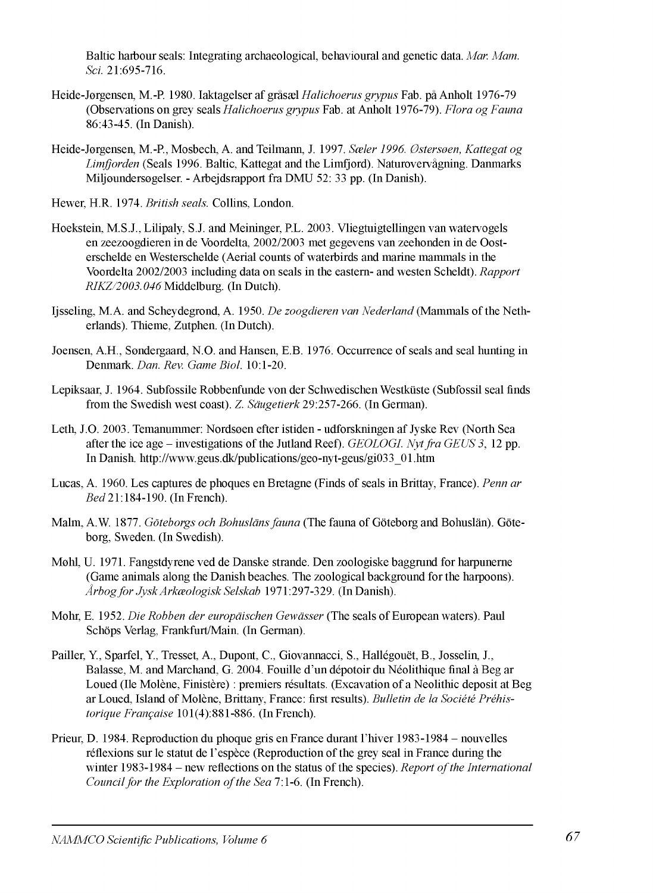Baltic harbour seals: Integrating archaeological, behavioural and genetic data. *Mar. Mam. Sei.* 21:695-716.

- Heide-Jorgensen, M.-P. 1980. Iaktagelser af grâsæl *Halichoerus grypus* Fab. pâ Anholt 1976-79 (Observations on grey seals *Halichoerus grypus* Fab. at Anholt 1976-79). *Flora og Fauna* 86:43-45. (In Danish).
- Heide-Jørgensen, M.-P., Mosbech, A. and Teilmann, J. 1997. *Sæler 1996. Østersøen, Kattegat og Limfiorden* (Seals 1996. Baltic, Kattegat and the Limfjord). Naturovervâgning. Danmarks Miljoundersogelser. - Arbejdsrapport fra DMU 52: 33 pp. (In Danish).
- Hewer, H.R. 1974. *British seals.* Collins, London.
- Hoekstein, M.S.J., Lilipaly, S.J. and Meininger, PL. 2003. Vliegtuigtellingen van watervogels en zeezoogdieren in de Voordelta, 2002/2003 met gegevens van zeehonden in de Oosterschelde en Westerschelde (Aerial counts of waterbirds and marine mammals in the Voordelta 2002/2003 including data on seals in the eastern- and westen Scheldt). *Rapport RIKZ/2003.046* Middelburg. (In Dutch).
- Ijsseling, M.A. and Scheydegrond, A. 1950. *De zoogdieren van Nederland* (Mammals of the Netherlands). Thieme, Zutphen. (In Dutch).
- Joensen, A.H., Sondergaard, N.O. and Hansen, E.B. 1976. Occurrence of seals and seal hunting in Denmark. *Dan. Rev. Game Biol.* 10:1-20.
- Lepiksaar, J. 1964. Subfossile Robbenfunde von der Schwedischen Westküste (Subfossil seal finds from the Swedish west coast). Z *Säugetierk* 29:257-266. (In German).
- Leth, J.O. 2003. Temanummer: Nordsoen efter istiden udforskningen af Jyske Rev (North Sea after the ice age - investigations of the Jutland Reef). *GEOLOGI. Nyt fra GEUS 3,* 12 pp. In Danish, [http://www.geus.dk/publications/geo-nyt-geus/gi033\\_01.htm](http://www.geus.dk/publications/geo-nyt-geus/gi033_01.htm)
- Lucas, A. 1960. Les captures de phoques en Bretagne (Finds of seals inBrittay, France). *Penn ar B ed*21:184-190. (InFrench).
- Malm, A.W. 1877. *Göteborgs och Bohusläns fauna* (The fauna of Göteborg and Bohuslän). Göteborg, Sweden. (In Swedish).
- Mohl, U. 1971. Fangstdyrene ved de Danske strande. Den zoologiske baggrund for harpuneme (Game animals along the Danish beaches. The zoological background for the harpoons). *Arbogfor JyskArkœologiskSelskab* 1971:297-329. (InDanish).
- Mohr, E. 1952. *Die Robben der europäischen Gewässer* (The seals of European waters). Paul Schöps Verlag, Frankfurt/Main. (In German).
- Pailler, Y., Sparfel, Y., Tresset, A., Dupont, C., Giovannacci, S., Hallégouët, B., Josselin, J., Baiasse, M. and Marchand, G. 2004. Fouille d'un dépotoir du Néolithique final à Beg ar Loued (Ile Molène, Finistère) : premiers résultats. (Excavation of a Neolithic deposit at Beg arLoued, Island of Molène, Brittany, France: first results). *Bulletin de la Société Préhistorique Française* 101(4):881-886. (InFrench).
- Prieur, D. 1984. Reproduction du phoque gris en France durant l'hiver 1983-1984 nouvelles réflexions sur le statut de l'espèce (Reproduction of the grey seal in France during the winter 1983-1984 - new reflections on the status of the species). *Report o f the International Council for the Exploration of the Sea 7:1-6. (In French).*